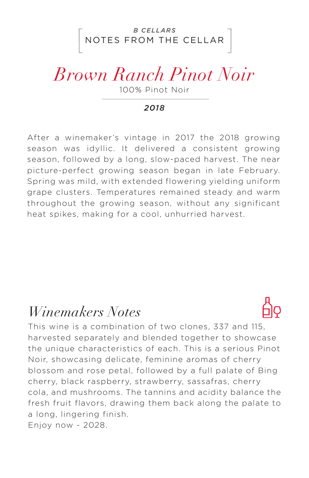### NOTES FROM THE CELLAR *B CELLARS*

# *Brown Ranch Pinot Noir*

100% Pinot Noir

#### *2018*

After a winemaker's vintage in 2017 the 2018 growing season was idyllic. It delivered a consistent growing season, followed by a long, slow-paced harvest. The near picture-perfect growing season began in late February. Spring was mild, with extended flowering yielding uniform grape clusters. Temperatures remained steady and warm throughout the growing season, without any significant heat spikes, making for a cool, unhurried harvest.

### *Winemakers Notes*



This wine is a combination of two clones, 337 and 115, harvested separately and blended together to showcase the unique characteristics of each. This is a serious Pinot Noir, showcasing delicate, feminine aromas of cherry blossom and rose petal, followed by a full palate of Bing cherry, black raspberry, strawberry, sassafras, cherry cola, and mushrooms. The tannins and acidity balance the fresh fruit flavors, drawing them back along the palate to a long, lingering finish. Enjoy now - 2028.